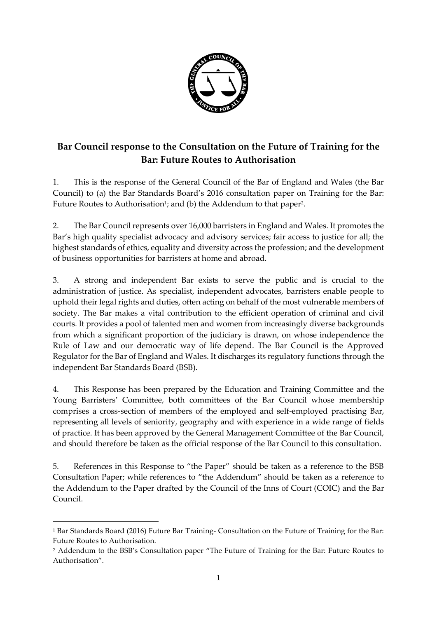

# **Bar Council response to the Consultation on the Future of Training for the Bar: Future Routes to Authorisation**

1. This is the response of the General Council of the Bar of England and Wales (the Bar Council) to (a) the Bar Standards Board's 2016 consultation paper on Training for the Bar: Future Routes to Authorisation<sup>1</sup>; and (b) the Addendum to that paper<sup>2</sup>.

2. The Bar Council represents over 16,000 barristers in England and Wales. It promotes the Bar's high quality specialist advocacy and advisory services; fair access to justice for all; the highest standards of ethics, equality and diversity across the profession; and the development of business opportunities for barristers at home and abroad.

3. A strong and independent Bar exists to serve the public and is crucial to the administration of justice. As specialist, independent advocates, barristers enable people to uphold their legal rights and duties, often acting on behalf of the most vulnerable members of society. The Bar makes a vital contribution to the efficient operation of criminal and civil courts. It provides a pool of talented men and women from increasingly diverse backgrounds from which a significant proportion of the judiciary is drawn, on whose independence the Rule of Law and our democratic way of life depend. The Bar Council is the Approved Regulator for the Bar of England and Wales. It discharges its regulatory functions through the independent Bar Standards Board (BSB).

4. This Response has been prepared by the Education and Training Committee and the Young Barristers' Committee, both committees of the Bar Council whose membership comprises a cross-section of members of the employed and self-employed practising Bar, representing all levels of seniority, geography and with experience in a wide range of fields of practice. It has been approved by the General Management Committee of the Bar Council, and should therefore be taken as the official response of the Bar Council to this consultation.

5. References in this Response to "the Paper" should be taken as a reference to the BSB Consultation Paper; while references to "the Addendum" should be taken as a reference to the Addendum to the Paper drafted by the Council of the Inns of Court (COIC) and the Bar Council.

1

<sup>1</sup> Bar Standards Board (2016) Future Bar Training- Consultation on the Future of Training for the Bar: Future Routes to Authorisation.

<sup>2</sup> Addendum to the BSB's Consultation paper "The Future of Training for the Bar: Future Routes to Authorisation".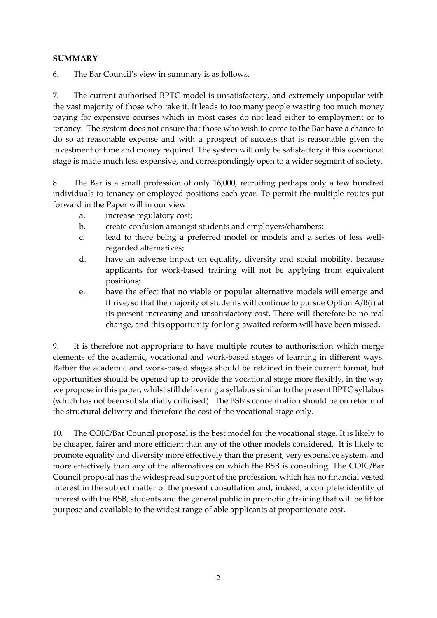#### **SUMMARY**

6. The Bar Council's view in summary is as follows.

7. The current authorised BPTC model is unsatisfactory, and extremely unpopular with the vast majority of those who take it. It leads to too many people wasting too much money paying for expensive courses which in most cases do not lead either to employment or to tenancy. The system does not ensure that those who wish to come to the Bar have a chance to do so at reasonable expense and with a prospect of success that is reasonable given the investment of time and money required. The system will only be satisfactory if this vocational stage is made much less expensive, and correspondingly open to a wider segment of society.

8. The Bar is a small profession of only 16,000, recruiting perhaps only a few hundred individuals to tenancy or employed positions each year. To permit the multiple routes put forward in the Paper will in our view:

- a. increase regulatory cost;
- b. create confusion amongst students and employers/chambers;
- c. lead to there being a preferred model or models and a series of less wellregarded alternatives;
- d. have an adverse impact on equality, diversity and social mobility, because applicants for work-based training will not be applying from equivalent positions;
- e. have the effect that no viable or popular alternative models will emerge and thrive, so that the majority of students will continue to pursue Option A/B(i) at its present increasing and unsatisfactory cost. There will therefore be no real change, and this opportunity for long-awaited reform will have been missed.

9. It is therefore not appropriate to have multiple routes to authorisation which merge elements of the academic, vocational and work-based stages of learning in different ways. Rather the academic and work-based stages should be retained in their current format, but opportunities should be opened up to provide the vocational stage more flexibly, in the way we propose in this paper, whilst still delivering a syllabus similar to the present BPTC syllabus (which has not been substantially criticised). The BSB's concentration should be on reform of the structural delivery and therefore the cost of the vocational stage only.

10. The COIC/Bar Council proposal is the best model for the vocational stage. It is likely to be cheaper, fairer and more efficient than any of the other models considered. It is likely to promote equality and diversity more effectively than the present, very expensive system, and more effectively than any of the alternatives on which the BSB is consulting. The COIC/Bar Council proposal has the widespread support of the profession, which has no financial vested interest in the subject matter of the present consultation and, indeed, a complete identity of interest with the BSB, students and the general public in promoting training that will be fit for purpose and available to the widest range of able applicants at proportionate cost.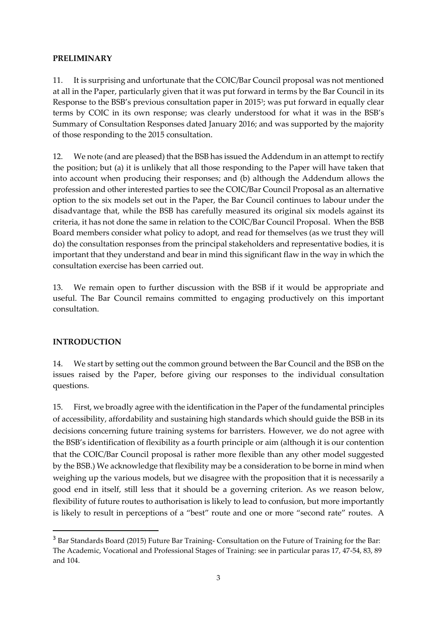#### **PRELIMINARY**

11. It is surprising and unfortunate that the COIC/Bar Council proposal was not mentioned at all in the Paper, particularly given that it was put forward in terms by the Bar Council in its Response to the BSB's previous consultation paper in 2015<sup>3</sup> ; was put forward in equally clear terms by COIC in its own response; was clearly understood for what it was in the BSB's Summary of Consultation Responses dated January 2016; and was supported by the majority of those responding to the 2015 consultation.

12. We note (and are pleased) that the BSB has issued the Addendum in an attempt to rectify the position; but (a) it is unlikely that all those responding to the Paper will have taken that into account when producing their responses; and (b) although the Addendum allows the profession and other interested parties to see the COIC/Bar Council Proposal as an alternative option to the six models set out in the Paper, the Bar Council continues to labour under the disadvantage that, while the BSB has carefully measured its original six models against its criteria, it has not done the same in relation to the COIC/Bar Council Proposal. When the BSB Board members consider what policy to adopt, and read for themselves (as we trust they will do) the consultation responses from the principal stakeholders and representative bodies, it is important that they understand and bear in mind this significant flaw in the way in which the consultation exercise has been carried out.

13. We remain open to further discussion with the BSB if it would be appropriate and useful. The Bar Council remains committed to engaging productively on this important consultation.

#### **INTRODUCTION**

1

14. We start by setting out the common ground between the Bar Council and the BSB on the issues raised by the Paper, before giving our responses to the individual consultation questions.

15. First, we broadly agree with the identification in the Paper of the fundamental principles of accessibility, affordability and sustaining high standards which should guide the BSB in its decisions concerning future training systems for barristers. However, we do not agree with the BSB's identification of flexibility as a fourth principle or aim (although it is our contention that the COIC/Bar Council proposal is rather more flexible than any other model suggested by the BSB.) We acknowledge that flexibility may be a consideration to be borne in mind when weighing up the various models, but we disagree with the proposition that it is necessarily a good end in itself, still less that it should be a governing criterion. As we reason below, flexibility of future routes to authorisation is likely to lead to confusion, but more importantly is likely to result in perceptions of a "best" route and one or more "second rate" routes. A

<sup>&</sup>lt;sup>3</sup> Bar Standards Board (2015) Future Bar Training- Consultation on the Future of Training for the Bar: The Academic, Vocational and Professional Stages of Training: see in particular paras 17, 47-54, 83, 89 and 104.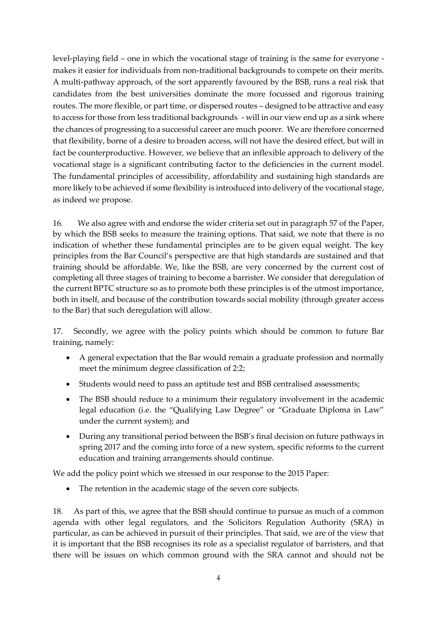level-playing field – one in which the vocational stage of training is the same for everyone makes it easier for individuals from non-traditional backgrounds to compete on their merits. A multi-pathway approach, of the sort apparently favoured by the BSB, runs a real risk that candidates from the best universities dominate the more focussed and rigorous training routes. The more flexible, or part time, or dispersed routes – designed to be attractive and easy to access for those from less traditional backgrounds - will in our view end up as a sink where the chances of progressing to a successful career are much poorer. We are therefore concerned that flexibility, borne of a desire to broaden access, will not have the desired effect, but will in fact be counterproductive. However, we believe that an inflexible approach to delivery of the vocational stage is a significant contributing factor to the deficiencies in the current model. The fundamental principles of accessibility, affordability and sustaining high standards are more likely to be achieved if some flexibility is introduced into delivery of the vocational stage, as indeed we propose.

16. We also agree with and endorse the wider criteria set out in paragraph 57 of the Paper, by which the BSB seeks to measure the training options. That said, we note that there is no indication of whether these fundamental principles are to be given equal weight. The key principles from the Bar Council's perspective are that high standards are sustained and that training should be affordable. We, like the BSB, are very concerned by the current cost of completing all three stages of training to become a barrister. We consider that deregulation of the current BPTC structure so as to promote both these principles is of the utmost importance, both in itself, and because of the contribution towards social mobility (through greater access to the Bar) that such deregulation will allow.

17. Secondly, we agree with the policy points which should be common to future Bar training, namely:

- A general expectation that the Bar would remain a graduate profession and normally meet the minimum degree classification of 2:2;
- Students would need to pass an aptitude test and BSB centralised assessments;
- The BSB should reduce to a minimum their regulatory involvement in the academic legal education (i.e. the "Qualifying Law Degree" or "Graduate Diploma in Law" under the current system); and
- During any transitional period between the BSB's final decision on future pathways in spring 2017 and the coming into force of a new system, specific reforms to the current education and training arrangements should continue.

We add the policy point which we stressed in our response to the 2015 Paper:

The retention in the academic stage of the seven core subjects.

18. As part of this, we agree that the BSB should continue to pursue as much of a common agenda with other legal regulators, and the Solicitors Regulation Authority (SRA) in particular, as can be achieved in pursuit of their principles. That said, we are of the view that it is important that the BSB recognises its role as a specialist regulator of barristers, and that there will be issues on which common ground with the SRA cannot and should not be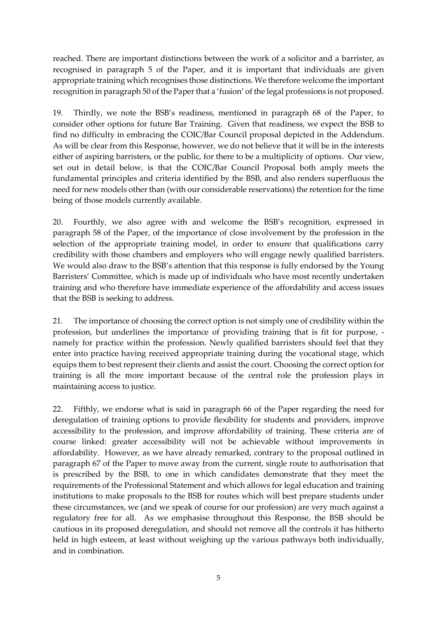reached. There are important distinctions between the work of a solicitor and a barrister, as recognised in paragraph 5 of the Paper, and it is important that individuals are given appropriate training which recognises those distinctions. We therefore welcome the important recognition in paragraph 50 of the Paper that a 'fusion' of the legal professions is not proposed.

19. Thirdly, we note the BSB's readiness, mentioned in paragraph 68 of the Paper, to consider other options for future Bar Training. Given that readiness, we expect the BSB to find no difficulty in embracing the COIC/Bar Council proposal depicted in the Addendum. As will be clear from this Response, however, we do not believe that it will be in the interests either of aspiring barristers, or the public, for there to be a multiplicity of options. Our view, set out in detail below, is that the COIC/Bar Council Proposal both amply meets the fundamental principles and criteria identified by the BSB, and also renders superfluous the need for new models other than (with our considerable reservations) the retention for the time being of those models currently available.

20. Fourthly, we also agree with and welcome the BSB's recognition, expressed in paragraph 58 of the Paper, of the importance of close involvement by the profession in the selection of the appropriate training model, in order to ensure that qualifications carry credibility with those chambers and employers who will engage newly qualified barristers. We would also draw to the BSB's attention that this response is fully endorsed by the Young Barristers' Committee, which is made up of individuals who have most recently undertaken training and who therefore have immediate experience of the affordability and access issues that the BSB is seeking to address.

21. The importance of choosing the correct option is not simply one of credibility within the profession, but underlines the importance of providing training that is fit for purpose, namely for practice within the profession. Newly qualified barristers should feel that they enter into practice having received appropriate training during the vocational stage, which equips them to best represent their clients and assist the court. Choosing the correct option for training is all the more important because of the central role the profession plays in maintaining access to justice.

22. Fifthly, we endorse what is said in paragraph 66 of the Paper regarding the need for deregulation of training options to provide flexibility for students and providers, improve accessibility to the profession, and improve affordability of training. These criteria are of course linked: greater accessibility will not be achievable without improvements in affordability. However, as we have already remarked, contrary to the proposal outlined in paragraph 67 of the Paper to move away from the current, single route to authorisation that is prescribed by the BSB, to one in which candidates demonstrate that they meet the requirements of the Professional Statement and which allows for legal education and training institutions to make proposals to the BSB for routes which will best prepare students under these circumstances, we (and we speak of course for our profession) are very much against a regulatory free for all. As we emphasise throughout this Response, the BSB should be cautious in its proposed deregulation, and should not remove all the controls it has hitherto held in high esteem, at least without weighing up the various pathways both individually, and in combination.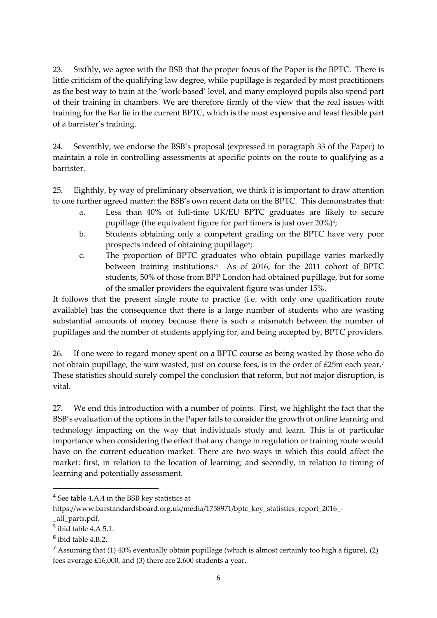23. Sixthly, we agree with the BSB that the proper focus of the Paper is the BPTC. There is little criticism of the qualifying law degree, while pupillage is regarded by most practitioners as the best way to train at the 'work-based' level, and many employed pupils also spend part of their training in chambers. We are therefore firmly of the view that the real issues with training for the Bar lie in the current BPTC, which is the most expensive and least flexible part of a barrister's training.

24. Seventhly, we endorse the BSB's proposal (expressed in paragraph 33 of the Paper) to maintain a role in controlling assessments at specific points on the route to qualifying as a barrister.

25. Eighthly, by way of preliminary observation, we think it is important to draw attention to one further agreed matter: the BSB's own recent data on the BPTC. This demonstrates that:

- a. Less than 40% of full-time UK/EU BPTC graduates are likely to secure pupillage (the equivalent figure for part timers is just over 20%)<sup>4</sup>;
- b. Students obtaining only a competent grading on the BPTC have very poor prospects indeed of obtaining pupillage<sup>5</sup>;
- c. The proportion of BPTC graduates who obtain pupillage varies markedly between training institutions.<sup>6</sup> As of 2016, for the 2011 cohort of BPTC students, 50% of those from BPP London had obtained pupillage, but for some of the smaller providers the equivalent figure was under 15%.

It follows that the present single route to practice (i.e. with only one qualification route available) has the consequence that there is a large number of students who are wasting substantial amounts of money because there is such a mismatch between the number of pupillages and the number of students applying for, and being accepted by, BPTC providers.

26. If one were to regard money spent on a BPTC course as being wasted by those who do not obtain pupillage, the sum wasted, just on course fees, is in the order of £25m each year.<sup>7</sup> These statistics should surely compel the conclusion that reform, but not major disruption, is vital.

27. We end this introduction with a number of points. First, we highlight the fact that the BSB's evaluation of the options in the Paper fails to consider the growth of online learning and technology impacting on the way that individuals study and learn. This is of particular importance when considering the effect that any change in regulation or training route would have on the current education market. There are two ways in which this could affect the market: first, in relation to the location of learning; and secondly, in relation to timing of learning and potentially assessment.

**.** 

<sup>&</sup>lt;sup>4</sup> See table 4.A.4 in the BSB key statistics at

https://www.barstandardsboard.org.uk/media/1758971/bptc\_key\_statistics\_report\_2016\_-

\_all\_parts.pdf.

<sup>5</sup> ibid table 4.A.5.1.

<sup>6</sup> ibid table 4.B.2.

 $7$  Assuming that (1) 40% eventually obtain pupillage (which is almost certainly too high a figure), (2) fees average £16,000, and (3) there are 2,600 students a year.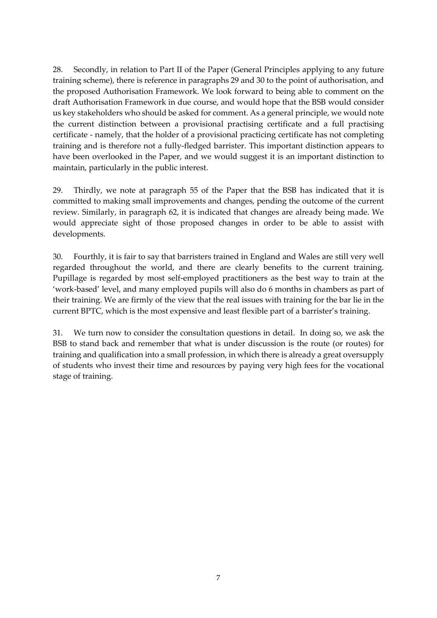28. Secondly, in relation to Part II of the Paper (General Principles applying to any future training scheme), there is reference in paragraphs 29 and 30 to the point of authorisation, and the proposed Authorisation Framework. We look forward to being able to comment on the draft Authorisation Framework in due course, and would hope that the BSB would consider us key stakeholders who should be asked for comment. As a general principle, we would note the current distinction between a provisional practising certificate and a full practising certificate - namely, that the holder of a provisional practicing certificate has not completing training and is therefore not a fully-fledged barrister. This important distinction appears to have been overlooked in the Paper, and we would suggest it is an important distinction to maintain, particularly in the public interest.

29. Thirdly, we note at paragraph 55 of the Paper that the BSB has indicated that it is committed to making small improvements and changes, pending the outcome of the current review. Similarly, in paragraph 62, it is indicated that changes are already being made. We would appreciate sight of those proposed changes in order to be able to assist with developments.

30. Fourthly, it is fair to say that barristers trained in England and Wales are still very well regarded throughout the world, and there are clearly benefits to the current training. Pupillage is regarded by most self-employed practitioners as the best way to train at the 'work-based' level, and many employed pupils will also do 6 months in chambers as part of their training. We are firmly of the view that the real issues with training for the bar lie in the current BPTC, which is the most expensive and least flexible part of a barrister's training.

31. We turn now to consider the consultation questions in detail. In doing so, we ask the BSB to stand back and remember that what is under discussion is the route (or routes) for training and qualification into a small profession, in which there is already a great oversupply of students who invest their time and resources by paying very high fees for the vocational stage of training.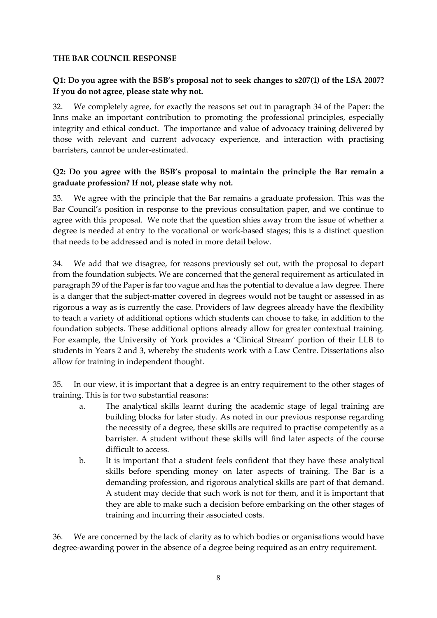#### **THE BAR COUNCIL RESPONSE**

#### **Q1: Do you agree with the BSB's proposal not to seek changes to s207(1) of the LSA 2007? If you do not agree, please state why not.**

32. We completely agree, for exactly the reasons set out in paragraph 34 of the Paper: the Inns make an important contribution to promoting the professional principles, especially integrity and ethical conduct. The importance and value of advocacy training delivered by those with relevant and current advocacy experience, and interaction with practising barristers, cannot be under-estimated.

#### **Q2: Do you agree with the BSB's proposal to maintain the principle the Bar remain a graduate profession? If not, please state why not.**

33. We agree with the principle that the Bar remains a graduate profession. This was the Bar Council's position in response to the previous consultation paper, and we continue to agree with this proposal. We note that the question shies away from the issue of whether a degree is needed at entry to the vocational or work-based stages; this is a distinct question that needs to be addressed and is noted in more detail below.

34. We add that we disagree, for reasons previously set out, with the proposal to depart from the foundation subjects. We are concerned that the general requirement as articulated in paragraph 39 of the Paper is far too vague and has the potential to devalue a law degree. There is a danger that the subject-matter covered in degrees would not be taught or assessed in as rigorous a way as is currently the case. Providers of law degrees already have the flexibility to teach a variety of additional options which students can choose to take, in addition to the foundation subjects. These additional options already allow for greater contextual training. For example, the University of York provides a 'Clinical Stream' portion of their LLB to students in Years 2 and 3, whereby the students work with a Law Centre. Dissertations also allow for training in independent thought.

35. In our view, it is important that a degree is an entry requirement to the other stages of training. This is for two substantial reasons:

- a. The analytical skills learnt during the academic stage of legal training are building blocks for later study. As noted in our previous response regarding the necessity of a degree, these skills are required to practise competently as a barrister. A student without these skills will find later aspects of the course difficult to access.
- b. It is important that a student feels confident that they have these analytical skills before spending money on later aspects of training. The Bar is a demanding profession, and rigorous analytical skills are part of that demand. A student may decide that such work is not for them, and it is important that they are able to make such a decision before embarking on the other stages of training and incurring their associated costs.

36. We are concerned by the lack of clarity as to which bodies or organisations would have degree-awarding power in the absence of a degree being required as an entry requirement.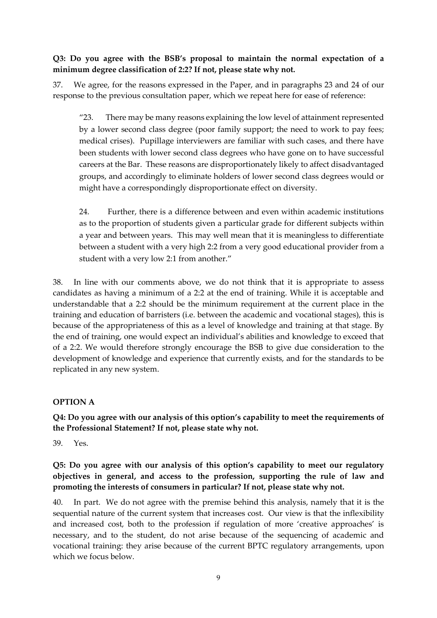**Q3: Do you agree with the BSB's proposal to maintain the normal expectation of a minimum degree classification of 2:2? If not, please state why not.**

37. We agree, for the reasons expressed in the Paper, and in paragraphs 23 and 24 of our response to the previous consultation paper, which we repeat here for ease of reference:

"23. There may be many reasons explaining the low level of attainment represented by a lower second class degree (poor family support; the need to work to pay fees; medical crises). Pupillage interviewers are familiar with such cases, and there have been students with lower second class degrees who have gone on to have successful careers at the Bar. These reasons are disproportionately likely to affect disadvantaged groups, and accordingly to eliminate holders of lower second class degrees would or might have a correspondingly disproportionate effect on diversity.

24. Further, there is a difference between and even within academic institutions as to the proportion of students given a particular grade for different subjects within a year and between years. This may well mean that it is meaningless to differentiate between a student with a very high 2:2 from a very good educational provider from a student with a very low 2:1 from another."

38. In line with our comments above, we do not think that it is appropriate to assess candidates as having a minimum of a 2:2 at the end of training. While it is acceptable and understandable that a 2:2 should be the minimum requirement at the current place in the training and education of barristers (i.e. between the academic and vocational stages), this is because of the appropriateness of this as a level of knowledge and training at that stage. By the end of training, one would expect an individual's abilities and knowledge to exceed that of a 2:2. We would therefore strongly encourage the BSB to give due consideration to the development of knowledge and experience that currently exists, and for the standards to be replicated in any new system.

#### **OPTION A**

**Q4: Do you agree with our analysis of this option's capability to meet the requirements of the Professional Statement? If not, please state why not.**

39. Yes.

### **Q5: Do you agree with our analysis of this option's capability to meet our regulatory objectives in general, and access to the profession, supporting the rule of law and promoting the interests of consumers in particular? If not, please state why not.**

40. In part. We do not agree with the premise behind this analysis, namely that it is the sequential nature of the current system that increases cost. Our view is that the inflexibility and increased cost, both to the profession if regulation of more 'creative approaches' is necessary, and to the student, do not arise because of the sequencing of academic and vocational training: they arise because of the current BPTC regulatory arrangements, upon which we focus below.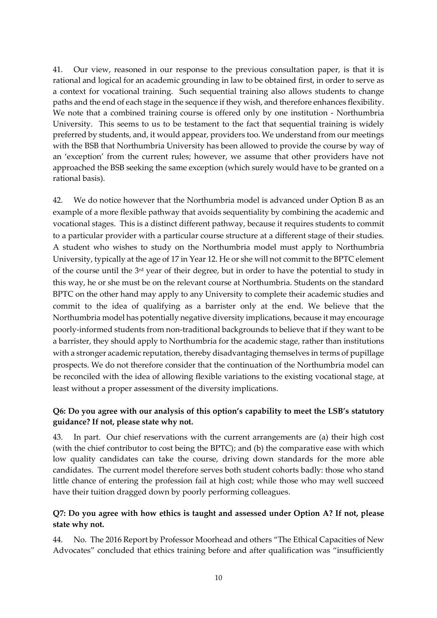41. Our view, reasoned in our response to the previous consultation paper, is that it is rational and logical for an academic grounding in law to be obtained first, in order to serve as a context for vocational training. Such sequential training also allows students to change paths and the end of each stage in the sequence if they wish, and therefore enhances flexibility. We note that a combined training course is offered only by one institution - Northumbria University. This seems to us to be testament to the fact that sequential training is widely preferred by students, and, it would appear, providers too. We understand from our meetings with the BSB that Northumbria University has been allowed to provide the course by way of an 'exception' from the current rules; however, we assume that other providers have not approached the BSB seeking the same exception (which surely would have to be granted on a rational basis).

42. We do notice however that the Northumbria model is advanced under Option B as an example of a more flexible pathway that avoids sequentiality by combining the academic and vocational stages. This is a distinct different pathway, because it requires students to commit to a particular provider with a particular course structure at a different stage of their studies. A student who wishes to study on the Northumbria model must apply to Northumbria University, typically at the age of 17 in Year 12. He or she will not commit to the BPTC element of the course until the 3rd year of their degree, but in order to have the potential to study in this way, he or she must be on the relevant course at Northumbria. Students on the standard BPTC on the other hand may apply to any University to complete their academic studies and commit to the idea of qualifying as a barrister only at the end. We believe that the Northumbria model has potentially negative diversity implications, because it may encourage poorly-informed students from non-traditional backgrounds to believe that if they want to be a barrister, they should apply to Northumbria for the academic stage, rather than institutions with a stronger academic reputation, thereby disadvantaging themselves in terms of pupillage prospects. We do not therefore consider that the continuation of the Northumbria model can be reconciled with the idea of allowing flexible variations to the existing vocational stage, at least without a proper assessment of the diversity implications.

#### **Q6: Do you agree with our analysis of this option's capability to meet the LSB's statutory guidance? If not, please state why not.**

43. In part. Our chief reservations with the current arrangements are (a) their high cost (with the chief contributor to cost being the BPTC); and (b) the comparative ease with which low quality candidates can take the course, driving down standards for the more able candidates. The current model therefore serves both student cohorts badly: those who stand little chance of entering the profession fail at high cost; while those who may well succeed have their tuition dragged down by poorly performing colleagues.

#### **Q7: Do you agree with how ethics is taught and assessed under Option A? If not, please state why not.**

44. No. The 2016 Report by Professor Moorhead and others "The Ethical Capacities of New Advocates" concluded that ethics training before and after qualification was "insufficiently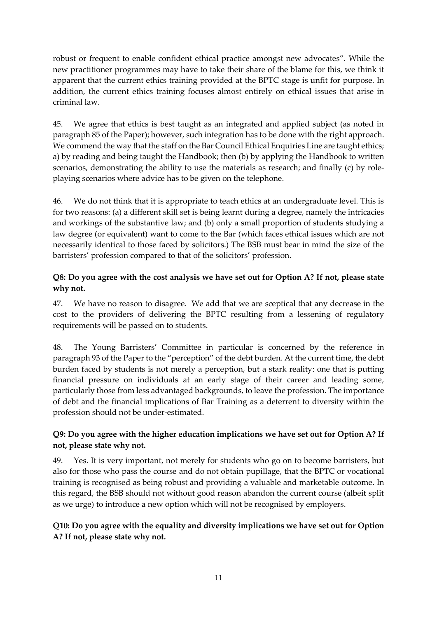robust or frequent to enable confident ethical practice amongst new advocates". While the new practitioner programmes may have to take their share of the blame for this, we think it apparent that the current ethics training provided at the BPTC stage is unfit for purpose. In addition, the current ethics training focuses almost entirely on ethical issues that arise in criminal law.

45. We agree that ethics is best taught as an integrated and applied subject (as noted in paragraph 85 of the Paper); however, such integration has to be done with the right approach. We commend the way that the staff on the Bar Council Ethical Enquiries Line are taught ethics; a) by reading and being taught the Handbook; then (b) by applying the Handbook to written scenarios, demonstrating the ability to use the materials as research; and finally (c) by roleplaying scenarios where advice has to be given on the telephone.

46. We do not think that it is appropriate to teach ethics at an undergraduate level. This is for two reasons: (a) a different skill set is being learnt during a degree, namely the intricacies and workings of the substantive law; and (b) only a small proportion of students studying a law degree (or equivalent) want to come to the Bar (which faces ethical issues which are not necessarily identical to those faced by solicitors.) The BSB must bear in mind the size of the barristers' profession compared to that of the solicitors' profession.

#### **Q8: Do you agree with the cost analysis we have set out for Option A? If not, please state why not.**

47. We have no reason to disagree. We add that we are sceptical that any decrease in the cost to the providers of delivering the BPTC resulting from a lessening of regulatory requirements will be passed on to students.

48. The Young Barristers' Committee in particular is concerned by the reference in paragraph 93 of the Paper to the "perception" of the debt burden. At the current time, the debt burden faced by students is not merely a perception, but a stark reality: one that is putting financial pressure on individuals at an early stage of their career and leading some, particularly those from less advantaged backgrounds, to leave the profession. The importance of debt and the financial implications of Bar Training as a deterrent to diversity within the profession should not be under-estimated.

### **Q9: Do you agree with the higher education implications we have set out for Option A? If not, please state why not.**

49. Yes. It is very important, not merely for students who go on to become barristers, but also for those who pass the course and do not obtain pupillage, that the BPTC or vocational training is recognised as being robust and providing a valuable and marketable outcome. In this regard, the BSB should not without good reason abandon the current course (albeit split as we urge) to introduce a new option which will not be recognised by employers.

### **Q10: Do you agree with the equality and diversity implications we have set out for Option A? If not, please state why not.**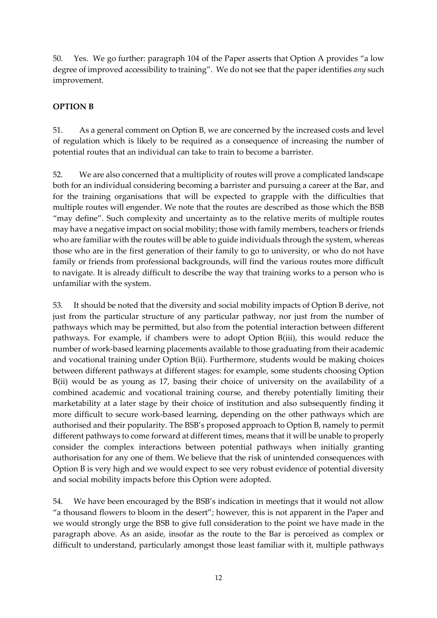50. Yes. We go further: paragraph 104 of the Paper asserts that Option A provides "a low degree of improved accessibility to training". We do not see that the paper identifies *any* such improvement.

#### **OPTION B**

51. As a general comment on Option B, we are concerned by the increased costs and level of regulation which is likely to be required as a consequence of increasing the number of potential routes that an individual can take to train to become a barrister.

52. We are also concerned that a multiplicity of routes will prove a complicated landscape both for an individual considering becoming a barrister and pursuing a career at the Bar, and for the training organisations that will be expected to grapple with the difficulties that multiple routes will engender. We note that the routes are described as those which the BSB "may define". Such complexity and uncertainty as to the relative merits of multiple routes may have a negative impact on social mobility; those with family members, teachers or friends who are familiar with the routes will be able to guide individuals through the system, whereas those who are in the first generation of their family to go to university, or who do not have family or friends from professional backgrounds, will find the various routes more difficult to navigate. It is already difficult to describe the way that training works to a person who is unfamiliar with the system.

53. It should be noted that the diversity and social mobility impacts of Option B derive, not just from the particular structure of any particular pathway, nor just from the number of pathways which may be permitted, but also from the potential interaction between different pathways. For example, if chambers were to adopt Option B(iii), this would reduce the number of work-based learning placements available to those graduating from their academic and vocational training under Option B(ii). Furthermore, students would be making choices between different pathways at different stages: for example, some students choosing Option B(ii) would be as young as 17, basing their choice of university on the availability of a combined academic and vocational training course, and thereby potentially limiting their marketability at a later stage by their choice of institution and also subsequently finding it more difficult to secure work-based learning, depending on the other pathways which are authorised and their popularity. The BSB's proposed approach to Option B, namely to permit different pathways to come forward at different times, means that it will be unable to properly consider the complex interactions between potential pathways when initially granting authorisation for any one of them. We believe that the risk of unintended consequences with Option B is very high and we would expect to see very robust evidence of potential diversity and social mobility impacts before this Option were adopted.

54. We have been encouraged by the BSB's indication in meetings that it would not allow "a thousand flowers to bloom in the desert"; however, this is not apparent in the Paper and we would strongly urge the BSB to give full consideration to the point we have made in the paragraph above. As an aside, insofar as the route to the Bar is perceived as complex or difficult to understand, particularly amongst those least familiar with it, multiple pathways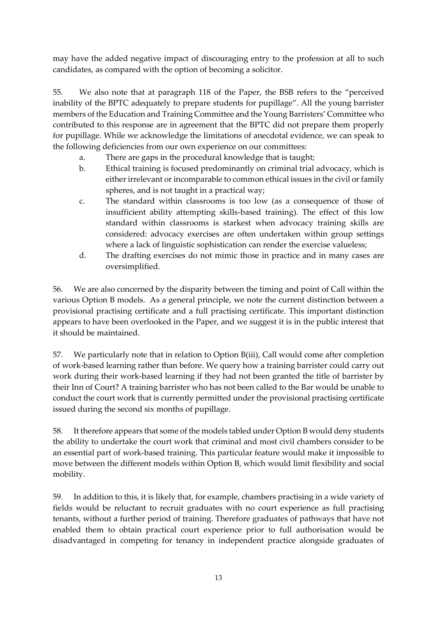may have the added negative impact of discouraging entry to the profession at all to such candidates, as compared with the option of becoming a solicitor.

55. We also note that at paragraph 118 of the Paper, the BSB refers to the "perceived inability of the BPTC adequately to prepare students for pupillage". All the young barrister members of the Education and Training Committee and the Young Barristers' Committee who contributed to this response are in agreement that the BPTC did not prepare them properly for pupillage. While we acknowledge the limitations of anecdotal evidence, we can speak to the following deficiencies from our own experience on our committees:

- a. There are gaps in the procedural knowledge that is taught;
- b. Ethical training is focused predominantly on criminal trial advocacy, which is either irrelevant or incomparable to common ethical issues in the civil or family spheres, and is not taught in a practical way;
- c. The standard within classrooms is too low (as a consequence of those of insufficient ability attempting skills-based training). The effect of this low standard within classrooms is starkest when advocacy training skills are considered: advocacy exercises are often undertaken within group settings where a lack of linguistic sophistication can render the exercise valueless;
- d. The drafting exercises do not mimic those in practice and in many cases are oversimplified.

56. We are also concerned by the disparity between the timing and point of Call within the various Option B models. As a general principle, we note the current distinction between a provisional practising certificate and a full practising certificate. This important distinction appears to have been overlooked in the Paper, and we suggest it is in the public interest that it should be maintained.

57. We particularly note that in relation to Option B(iii), Call would come after completion of work-based learning rather than before. We query how a training barrister could carry out work during their work-based learning if they had not been granted the title of barrister by their Inn of Court? A training barrister who has not been called to the Bar would be unable to conduct the court work that is currently permitted under the provisional practising certificate issued during the second six months of pupillage.

58. It therefore appears that some of the models tabled under Option B would deny students the ability to undertake the court work that criminal and most civil chambers consider to be an essential part of work-based training. This particular feature would make it impossible to move between the different models within Option B, which would limit flexibility and social mobility.

59. In addition to this, it is likely that, for example, chambers practising in a wide variety of fields would be reluctant to recruit graduates with no court experience as full practising tenants, without a further period of training. Therefore graduates of pathways that have not enabled them to obtain practical court experience prior to full authorisation would be disadvantaged in competing for tenancy in independent practice alongside graduates of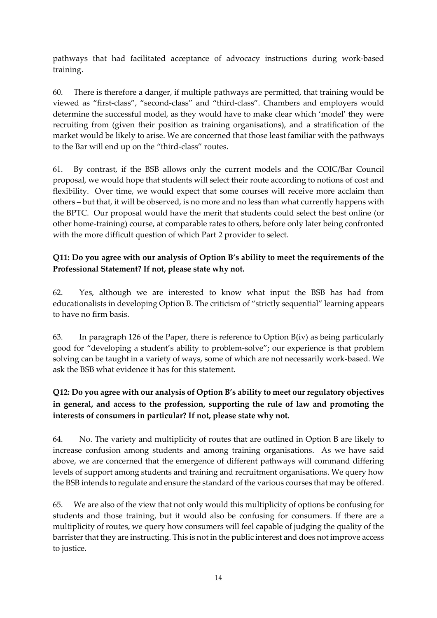pathways that had facilitated acceptance of advocacy instructions during work-based training.

60. There is therefore a danger, if multiple pathways are permitted, that training would be viewed as "first-class", "second-class" and "third-class". Chambers and employers would determine the successful model, as they would have to make clear which 'model' they were recruiting from (given their position as training organisations), and a stratification of the market would be likely to arise. We are concerned that those least familiar with the pathways to the Bar will end up on the "third-class" routes.

61. By contrast, if the BSB allows only the current models and the COIC/Bar Council proposal, we would hope that students will select their route according to notions of cost and flexibility. Over time, we would expect that some courses will receive more acclaim than others – but that, it will be observed, is no more and no less than what currently happens with the BPTC. Our proposal would have the merit that students could select the best online (or other home-training) course, at comparable rates to others, before only later being confronted with the more difficult question of which Part 2 provider to select.

### **Q11: Do you agree with our analysis of Option B's ability to meet the requirements of the Professional Statement? If not, please state why not.**

62. Yes, although we are interested to know what input the BSB has had from educationalists in developing Option B. The criticism of "strictly sequential" learning appears to have no firm basis.

63. In paragraph 126 of the Paper, there is reference to Option B(iv) as being particularly good for "developing a student's ability to problem-solve"; our experience is that problem solving can be taught in a variety of ways, some of which are not necessarily work-based. We ask the BSB what evidence it has for this statement.

# **Q12: Do you agree with our analysis of Option B's ability to meet our regulatory objectives in general, and access to the profession, supporting the rule of law and promoting the interests of consumers in particular? If not, please state why not.**

64. No. The variety and multiplicity of routes that are outlined in Option B are likely to increase confusion among students and among training organisations. As we have said above, we are concerned that the emergence of different pathways will command differing levels of support among students and training and recruitment organisations. We query how the BSB intends to regulate and ensure the standard of the various courses that may be offered.

65. We are also of the view that not only would this multiplicity of options be confusing for students and those training, but it would also be confusing for consumers. If there are a multiplicity of routes, we query how consumers will feel capable of judging the quality of the barrister that they are instructing. This is not in the public interest and does not improve access to justice.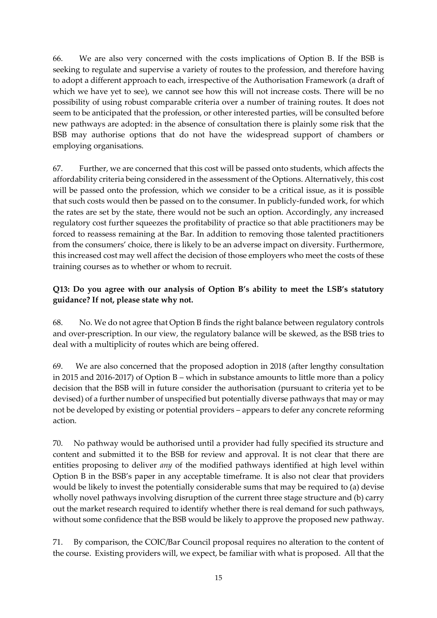66. We are also very concerned with the costs implications of Option B. If the BSB is seeking to regulate and supervise a variety of routes to the profession, and therefore having to adopt a different approach to each, irrespective of the Authorisation Framework (a draft of which we have yet to see), we cannot see how this will not increase costs. There will be no possibility of using robust comparable criteria over a number of training routes. It does not seem to be anticipated that the profession, or other interested parties, will be consulted before new pathways are adopted: in the absence of consultation there is plainly some risk that the BSB may authorise options that do not have the widespread support of chambers or employing organisations.

67. Further, we are concerned that this cost will be passed onto students, which affects the affordability criteria being considered in the assessment of the Options. Alternatively, this cost will be passed onto the profession, which we consider to be a critical issue, as it is possible that such costs would then be passed on to the consumer. In publicly-funded work, for which the rates are set by the state, there would not be such an option. Accordingly, any increased regulatory cost further squeezes the profitability of practice so that able practitioners may be forced to reassess remaining at the Bar. In addition to removing those talented practitioners from the consumers' choice, there is likely to be an adverse impact on diversity. Furthermore, this increased cost may well affect the decision of those employers who meet the costs of these training courses as to whether or whom to recruit.

### **Q13: Do you agree with our analysis of Option B's ability to meet the LSB's statutory guidance? If not, please state why not.**

68. No. We do not agree that Option B finds the right balance between regulatory controls and over-prescription. In our view, the regulatory balance will be skewed, as the BSB tries to deal with a multiplicity of routes which are being offered.

69. We are also concerned that the proposed adoption in 2018 (after lengthy consultation in 2015 and 2016-2017) of Option B – which in substance amounts to little more than a policy decision that the BSB will in future consider the authorisation (pursuant to criteria yet to be devised) of a further number of unspecified but potentially diverse pathways that may or may not be developed by existing or potential providers – appears to defer any concrete reforming action.

70. No pathway would be authorised until a provider had fully specified its structure and content and submitted it to the BSB for review and approval. It is not clear that there are entities proposing to deliver *any* of the modified pathways identified at high level within Option B in the BSB's paper in any acceptable timeframe. It is also not clear that providers would be likely to invest the potentially considerable sums that may be required to (a) devise wholly novel pathways involving disruption of the current three stage structure and (b) carry out the market research required to identify whether there is real demand for such pathways, without some confidence that the BSB would be likely to approve the proposed new pathway.

71. By comparison, the COIC/Bar Council proposal requires no alteration to the content of the course. Existing providers will, we expect, be familiar with what is proposed. All that the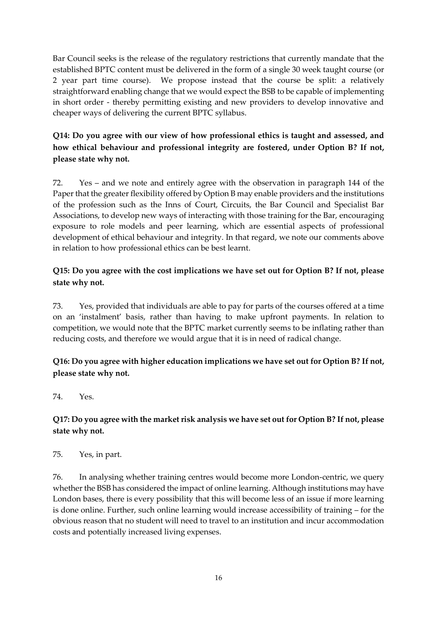Bar Council seeks is the release of the regulatory restrictions that currently mandate that the established BPTC content must be delivered in the form of a single 30 week taught course (or 2 year part time course). We propose instead that the course be split: a relatively straightforward enabling change that we would expect the BSB to be capable of implementing in short order - thereby permitting existing and new providers to develop innovative and cheaper ways of delivering the current BPTC syllabus.

# **Q14: Do you agree with our view of how professional ethics is taught and assessed, and how ethical behaviour and professional integrity are fostered, under Option B? If not, please state why not.**

72. Yes – and we note and entirely agree with the observation in paragraph 144 of the Paper that the greater flexibility offered by Option B may enable providers and the institutions of the profession such as the Inns of Court, Circuits, the Bar Council and Specialist Bar Associations, to develop new ways of interacting with those training for the Bar, encouraging exposure to role models and peer learning, which are essential aspects of professional development of ethical behaviour and integrity. In that regard, we note our comments above in relation to how professional ethics can be best learnt.

### **Q15: Do you agree with the cost implications we have set out for Option B? If not, please state why not.**

73. Yes, provided that individuals are able to pay for parts of the courses offered at a time on an 'instalment' basis, rather than having to make upfront payments. In relation to competition, we would note that the BPTC market currently seems to be inflating rather than reducing costs, and therefore we would argue that it is in need of radical change.

### **Q16: Do you agree with higher education implications we have set out for Option B? If not, please state why not.**

74. Yes.

### **Q17: Do you agree with the market risk analysis we have set out for Option B? If not, please state why not.**

75. Yes, in part.

76. In analysing whether training centres would become more London-centric, we query whether the BSB has considered the impact of online learning. Although institutions may have London bases, there is every possibility that this will become less of an issue if more learning is done online. Further, such online learning would increase accessibility of training – for the obvious reason that no student will need to travel to an institution and incur accommodation costs and potentially increased living expenses.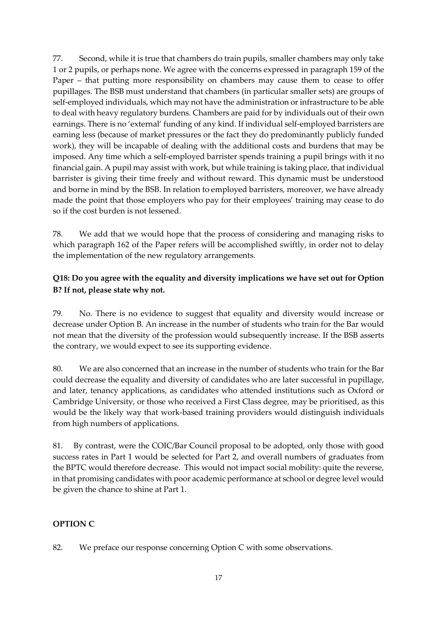77. Second, while it is true that chambers do train pupils, smaller chambers may only take 1 or 2 pupils, or perhaps none. We agree with the concerns expressed in paragraph 159 of the Paper – that putting more responsibility on chambers may cause them to cease to offer pupillages. The BSB must understand that chambers (in particular smaller sets) are groups of self-employed individuals, which may not have the administration or infrastructure to be able to deal with heavy regulatory burdens. Chambers are paid for by individuals out of their own earnings. There is no 'external' funding of any kind. If individual self-employed barristers are earning less (because of market pressures or the fact they do predominantly publicly funded work), they will be incapable of dealing with the additional costs and burdens that may be imposed. Any time which a self-employed barrister spends training a pupil brings with it no financial gain. A pupil may assist with work, but while training is taking place, that individual barrister is giving their time freely and without reward. This dynamic must be understood and borne in mind by the BSB. In relation to employed barristers, moreover, we have already made the point that those employers who pay for their employees' training may cease to do so if the cost burden is not lessened.

78. We add that we would hope that the process of considering and managing risks to which paragraph 162 of the Paper refers will be accomplished swiftly, in order not to delay the implementation of the new regulatory arrangements.

### **Q18: Do you agree with the equality and diversity implications we have set out for Option B? If not, please state why not.**

79. No. There is no evidence to suggest that equality and diversity would increase or decrease under Option B. An increase in the number of students who train for the Bar would not mean that the diversity of the profession would subsequently increase. If the BSB asserts the contrary, we would expect to see its supporting evidence.

80. We are also concerned that an increase in the number of students who train for the Bar could decrease the equality and diversity of candidates who are later successful in pupillage, and later, tenancy applications, as candidates who attended institutions such as Oxford or Cambridge University, or those who received a First Class degree, may be prioritised, as this would be the likely way that work-based training providers would distinguish individuals from high numbers of applications.

81. By contrast, were the COIC/Bar Council proposal to be adopted, only those with good success rates in Part 1 would be selected for Part 2, and overall numbers of graduates from the BPTC would therefore decrease. This would not impact social mobility: quite the reverse, in that promising candidates with poor academic performance at school or degree level would be given the chance to shine at Part 1.

### **OPTION C**

82. We preface our response concerning Option C with some observations.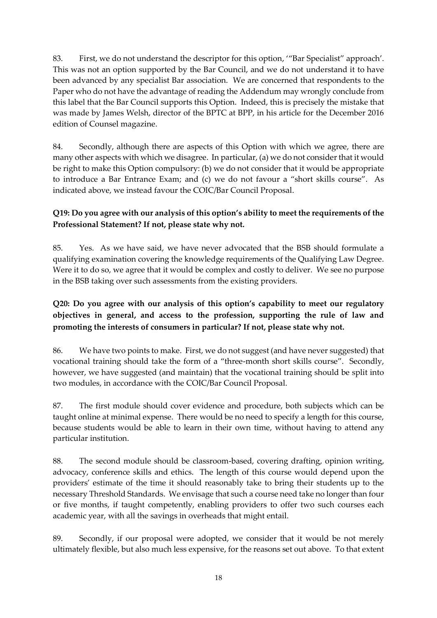83. First, we do not understand the descriptor for this option, '"Bar Specialist" approach'. This was not an option supported by the Bar Council, and we do not understand it to have been advanced by any specialist Bar association. We are concerned that respondents to the Paper who do not have the advantage of reading the Addendum may wrongly conclude from this label that the Bar Council supports this Option. Indeed, this is precisely the mistake that was made by James Welsh, director of the BPTC at BPP, in his article for the December 2016 edition of Counsel magazine.

84. Secondly, although there are aspects of this Option with which we agree, there are many other aspects with which we disagree. In particular, (a) we do not consider that it would be right to make this Option compulsory: (b) we do not consider that it would be appropriate to introduce a Bar Entrance Exam; and (c) we do not favour a "short skills course". As indicated above, we instead favour the COIC/Bar Council Proposal.

### **Q19: Do you agree with our analysis of this option's ability to meet the requirements of the Professional Statement? If not, please state why not.**

85. Yes. As we have said, we have never advocated that the BSB should formulate a qualifying examination covering the knowledge requirements of the Qualifying Law Degree. Were it to do so, we agree that it would be complex and costly to deliver. We see no purpose in the BSB taking over such assessments from the existing providers.

# **Q20: Do you agree with our analysis of this option's capability to meet our regulatory objectives in general, and access to the profession, supporting the rule of law and promoting the interests of consumers in particular? If not, please state why not.**

86. We have two points to make. First, we do not suggest (and have never suggested) that vocational training should take the form of a "three-month short skills course". Secondly, however, we have suggested (and maintain) that the vocational training should be split into two modules, in accordance with the COIC/Bar Council Proposal.

87. The first module should cover evidence and procedure, both subjects which can be taught online at minimal expense. There would be no need to specify a length for this course, because students would be able to learn in their own time, without having to attend any particular institution.

88. The second module should be classroom-based, covering drafting, opinion writing, advocacy, conference skills and ethics. The length of this course would depend upon the providers' estimate of the time it should reasonably take to bring their students up to the necessary Threshold Standards. We envisage that such a course need take no longer than four or five months, if taught competently, enabling providers to offer two such courses each academic year, with all the savings in overheads that might entail.

89. Secondly, if our proposal were adopted, we consider that it would be not merely ultimately flexible, but also much less expensive, for the reasons set out above. To that extent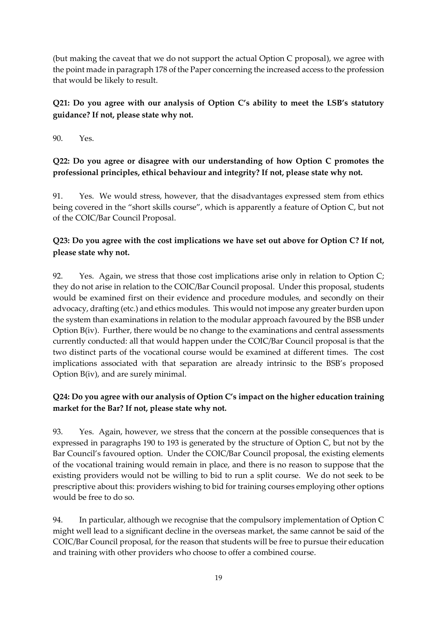(but making the caveat that we do not support the actual Option C proposal), we agree with the point made in paragraph 178 of the Paper concerning the increased access to the profession that would be likely to result.

# **Q21: Do you agree with our analysis of Option C's ability to meet the LSB's statutory guidance? If not, please state why not.**

90. Yes.

# **Q22: Do you agree or disagree with our understanding of how Option C promotes the professional principles, ethical behaviour and integrity? If not, please state why not.**

91. Yes. We would stress, however, that the disadvantages expressed stem from ethics being covered in the "short skills course", which is apparently a feature of Option C, but not of the COIC/Bar Council Proposal.

# **Q23: Do you agree with the cost implications we have set out above for Option C? If not, please state why not.**

92. Yes. Again, we stress that those cost implications arise only in relation to Option C; they do not arise in relation to the COIC/Bar Council proposal. Under this proposal, students would be examined first on their evidence and procedure modules, and secondly on their advocacy, drafting (etc.) and ethics modules. This would not impose any greater burden upon the system than examinations in relation to the modular approach favoured by the BSB under Option B(iv). Further, there would be no change to the examinations and central assessments currently conducted: all that would happen under the COIC/Bar Council proposal is that the two distinct parts of the vocational course would be examined at different times. The cost implications associated with that separation are already intrinsic to the BSB's proposed Option B(iv), and are surely minimal.

# **Q24: Do you agree with our analysis of Option C's impact on the higher education training market for the Bar? If not, please state why not.**

93. Yes. Again, however, we stress that the concern at the possible consequences that is expressed in paragraphs 190 to 193 is generated by the structure of Option C, but not by the Bar Council's favoured option. Under the COIC/Bar Council proposal, the existing elements of the vocational training would remain in place, and there is no reason to suppose that the existing providers would not be willing to bid to run a split course. We do not seek to be prescriptive about this: providers wishing to bid for training courses employing other options would be free to do so.

94. In particular, although we recognise that the compulsory implementation of Option C might well lead to a significant decline in the overseas market, the same cannot be said of the COIC/Bar Council proposal, for the reason that students will be free to pursue their education and training with other providers who choose to offer a combined course.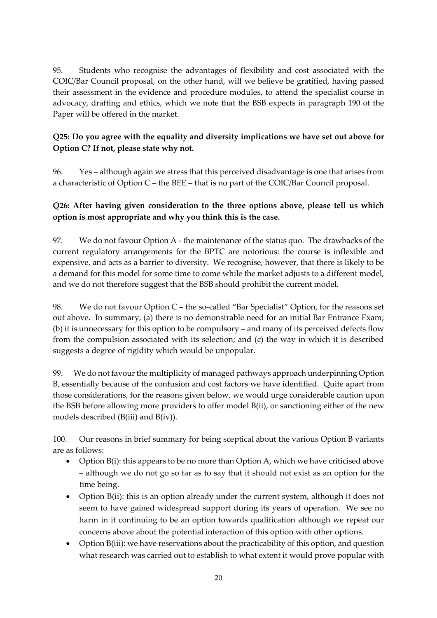95. Students who recognise the advantages of flexibility and cost associated with the COIC/Bar Council proposal, on the other hand, will we believe be gratified, having passed their assessment in the evidence and procedure modules, to attend the specialist course in advocacy, drafting and ethics, which we note that the BSB expects in paragraph 190 of the Paper will be offered in the market.

### **Q25: Do you agree with the equality and diversity implications we have set out above for Option C? If not, please state why not.**

96. Yes – although again we stress that this perceived disadvantage is one that arises from a characteristic of Option C – the BEE – that is no part of the COIC/Bar Council proposal.

### **Q26: After having given consideration to the three options above, please tell us which option is most appropriate and why you think this is the case.**

97. We do not favour Option A - the maintenance of the status quo. The drawbacks of the current regulatory arrangements for the BPTC are notorious: the course is inflexible and expensive, and acts as a barrier to diversity. We recognise, however, that there is likely to be a demand for this model for some time to come while the market adjusts to a different model, and we do not therefore suggest that the BSB should prohibit the current model.

98. We do not favour Option C – the so-called "Bar Specialist" Option, for the reasons set out above. In summary, (a) there is no demonstrable need for an initial Bar Entrance Exam; (b) it is unnecessary for this option to be compulsory – and many of its perceived defects flow from the compulsion associated with its selection; and (c) the way in which it is described suggests a degree of rigidity which would be unpopular.

99. We do not favour the multiplicity of managed pathways approach underpinning Option B, essentially because of the confusion and cost factors we have identified. Quite apart from those considerations, for the reasons given below, we would urge considerable caution upon the BSB before allowing more providers to offer model B(ii), or sanctioning either of the new models described (B(iii) and B(iv)).

100. Our reasons in brief summary for being sceptical about the various Option B variants are as follows:

- Option  $B(i)$ : this appears to be no more than Option A, which we have criticised above – although we do not go so far as to say that it should not exist as an option for the time being.
- Option B(ii): this is an option already under the current system, although it does not seem to have gained widespread support during its years of operation. We see no harm in it continuing to be an option towards qualification although we repeat our concerns above about the potential interaction of this option with other options.
- Option B(iii): we have reservations about the practicability of this option, and question what research was carried out to establish to what extent it would prove popular with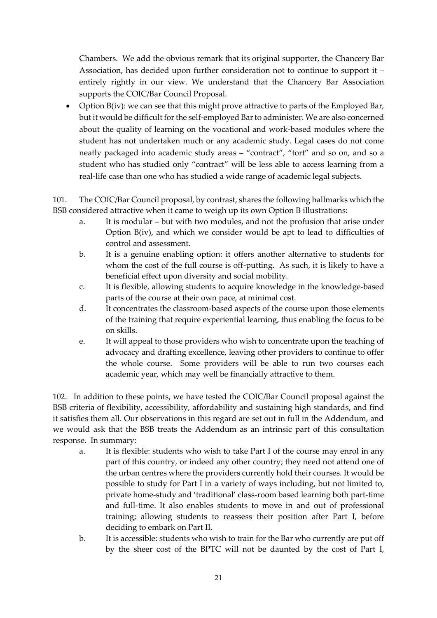Chambers. We add the obvious remark that its original supporter, the Chancery Bar Association, has decided upon further consideration not to continue to support it – entirely rightly in our view. We understand that the Chancery Bar Association supports the COIC/Bar Council Proposal.

• Option B(iv): we can see that this might prove attractive to parts of the Employed Bar, but it would be difficult for the self-employed Bar to administer. We are also concerned about the quality of learning on the vocational and work-based modules where the student has not undertaken much or any academic study. Legal cases do not come neatly packaged into academic study areas – "contract", "tort" and so on, and so a student who has studied only "contract" will be less able to access learning from a real-life case than one who has studied a wide range of academic legal subjects.

101. The COIC/Bar Council proposal, by contrast, shares the following hallmarks which the BSB considered attractive when it came to weigh up its own Option B illustrations:

- a. It is modular but with two modules, and not the profusion that arise under Option B(iv), and which we consider would be apt to lead to difficulties of control and assessment.
- b. It is a genuine enabling option: it offers another alternative to students for whom the cost of the full course is off-putting. As such, it is likely to have a beneficial effect upon diversity and social mobility.
- c. It is flexible, allowing students to acquire knowledge in the knowledge-based parts of the course at their own pace, at minimal cost.
- d. It concentrates the classroom-based aspects of the course upon those elements of the training that require experiential learning, thus enabling the focus to be on skills.
- e. It will appeal to those providers who wish to concentrate upon the teaching of advocacy and drafting excellence, leaving other providers to continue to offer the whole course. Some providers will be able to run two courses each academic year, which may well be financially attractive to them.

102. In addition to these points, we have tested the COIC/Bar Council proposal against the BSB criteria of flexibility, accessibility, affordability and sustaining high standards, and find it satisfies them all. Our observations in this regard are set out in full in the Addendum, and we would ask that the BSB treats the Addendum as an intrinsic part of this consultation response. In summary:

- a. It is <u>flexible</u>: students who wish to take Part I of the course may enrol in any part of this country, or indeed any other country; they need not attend one of the urban centres where the providers currently hold their courses. It would be possible to study for Part I in a variety of ways including, but not limited to, private home-study and 'traditional' class-room based learning both part-time and full-time. It also enables students to move in and out of professional training; allowing students to reassess their position after Part I, before deciding to embark on Part II.
- b. It is accessible: students who wish to train for the Bar who currently are put off by the sheer cost of the BPTC will not be daunted by the cost of Part I,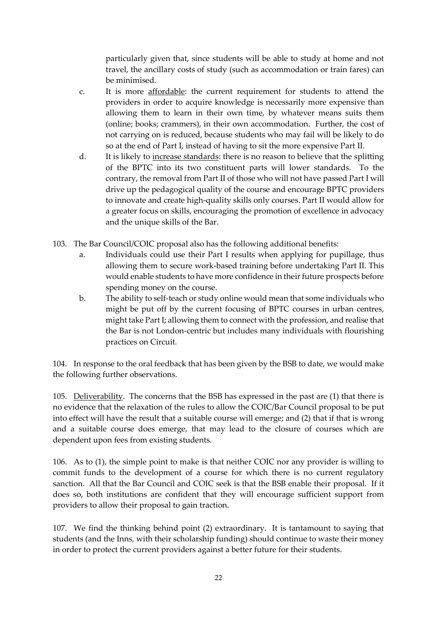particularly given that, since students will be able to study at home and not travel, the ancillary costs of study (such as accommodation or train fares) can be minimised.

- c. It is more affordable: the current requirement for students to attend the providers in order to acquire knowledge is necessarily more expensive than allowing them to learn in their own time, by whatever means suits them (online; books; crammers), in their own accommodation. Further, the cost of not carrying on is reduced, because students who may fail will be likely to do so at the end of Part I, instead of having to sit the more expensive Part II.
- d. It is likely to increase standards: there is no reason to believe that the splitting of the BPTC into its two constituent parts will lower standards. To the contrary, the removal from Part II of those who will not have passed Part I will drive up the pedagogical quality of the course and encourage BPTC providers to innovate and create high-quality skills only courses. Part II would allow for a greater focus on skills, encouraging the promotion of excellence in advocacy and the unique skills of the Bar.
- 103. The Bar Council/COIC proposal also has the following additional benefits:
	- a. Individuals could use their Part I results when applying for pupillage, thus allowing them to secure work-based training before undertaking Part II. This would enable students to have more confidence in their future prospects before spending money on the course.
	- b. The ability to self-teach or study online would mean that some individuals who might be put off by the current focusing of BPTC courses in urban centres, might take Part I; allowing them to connect with the profession, and realise that the Bar is not London-centric but includes many individuals with flourishing practices on Circuit.

104. In response to the oral feedback that has been given by the BSB to date, we would make the following further observations.

105. Deliverability. The concerns that the BSB has expressed in the past are (1) that there is no evidence that the relaxation of the rules to allow the COIC/Bar Council proposal to be put into effect will have the result that a suitable course will emerge; and (2) that if that is wrong and a suitable course does emerge, that may lead to the closure of courses which are dependent upon fees from existing students.

106. As to (1), the simple point to make is that neither COIC nor any provider is willing to commit funds to the development of a course for which there is no current regulatory sanction. All that the Bar Council and COIC seek is that the BSB enable their proposal. If it does so, both institutions are confident that they will encourage sufficient support from providers to allow their proposal to gain traction.

107. We find the thinking behind point (2) extraordinary. It is tantamount to saying that students (and the Inns, with their scholarship funding) should continue to waste their money in order to protect the current providers against a better future for their students.